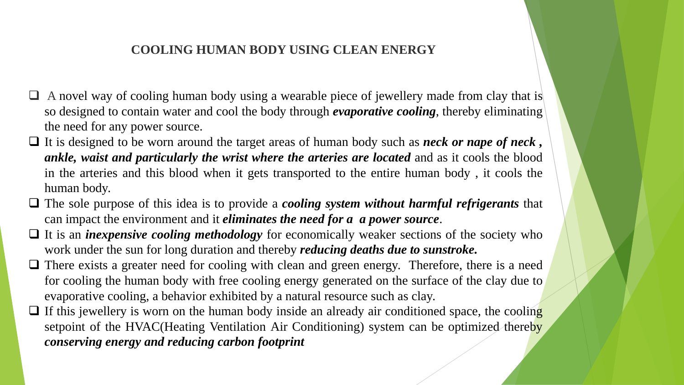#### **COOLING HUMAN BODY USING CLEAN ENERGY**

- $\Box$  A novel way of cooling human body using a wearable piece of jewellery made from clay that is so designed to contain water and cool the body through *evaporative cooling*, thereby eliminating the need for any power source.
- ❑ It is designed to be worn around the target areas of human body such as *neck or nape of neck , ankle, waist and particularly the wrist where the arteries are located* and as it cools the blood in the arteries and this blood when it gets transported to the entire human body , it cools the human body.
- ❑ The sole purpose of this idea is to provide a *cooling system without harmful refrigerants* that can impact the environment and it *eliminates the need for a a power source*.
- □ It is an *inexpensive cooling methodology* for economically weaker sections of the society who work under the sun for long duration and thereby *reducing deaths due to sunstroke.*
- □ There exists a greater need for cooling with clean and green energy. Therefore, there is a need for cooling the human body with free cooling energy generated on the surface of the clay due to evaporative cooling, a behavior exhibited by a natural resource such as clay.
- $\Box$  If this jewellery is worn on the human body inside an already air conditioned space, the cooling setpoint of the HVAC(Heating Ventilation Air Conditioning) system can be optimized thereby *conserving energy and reducing carbon footprint*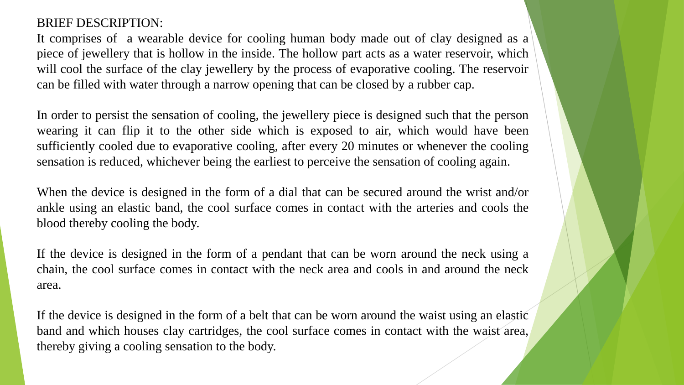### BRIEF DESCRIPTION:

It comprises of a wearable device for cooling human body made out of clay designed as a piece of jewellery that is hollow in the inside. The hollow part acts as a water reservoir, which will cool the surface of the clay jewellery by the process of evaporative cooling. The reservoir can be filled with water through a narrow opening that can be closed by a rubber cap.

In order to persist the sensation of cooling, the jewellery piece is designed such that the person wearing it can flip it to the other side which is exposed to air, which would have been sufficiently cooled due to evaporative cooling, after every 20 minutes or whenever the cooling sensation is reduced, whichever being the earliest to perceive the sensation of cooling again.

When the device is designed in the form of a dial that can be secured around the wrist and/or ankle using an elastic band, the cool surface comes in contact with the arteries and cools the blood thereby cooling the body.

If the device is designed in the form of a pendant that can be worn around the neck using a chain, the cool surface comes in contact with the neck area and cools in and around the neck area.

If the device is designed in the form of a belt that can be worn around the waist using an elastic band and which houses clay cartridges, the cool surface comes in contact with the waist area, thereby giving a cooling sensation to the body.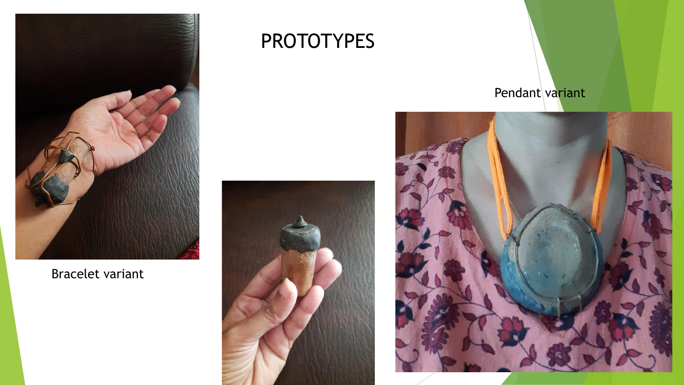

## Bracelet variant

# PROTOTYPES



## Pendant variant

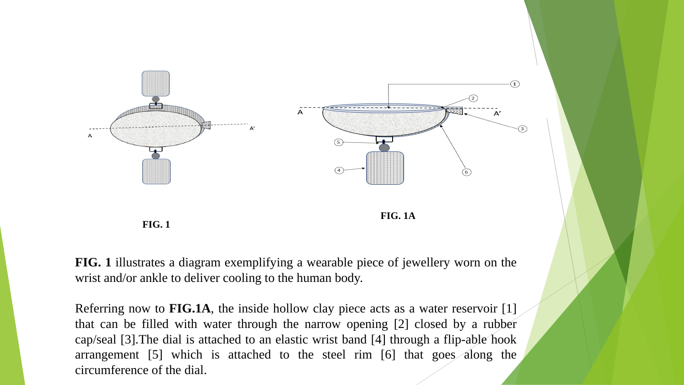



**FIG. 1** illustrates a diagram exemplifying a wearable piece of jewellery worn on the wrist and/or ankle to deliver cooling to the human body.

**FIG. 1**

Referring now to **FIG.1A**, the inside hollow clay piece acts as a water reservoir [1] that can be filled with water through the narrow opening [2] closed by a rubber cap/seal [3].The dial is attached to an elastic wrist band [4] through a flip-able hook arrangement [5] which is attached to the steel rim [6] that goes along the circumference of the dial.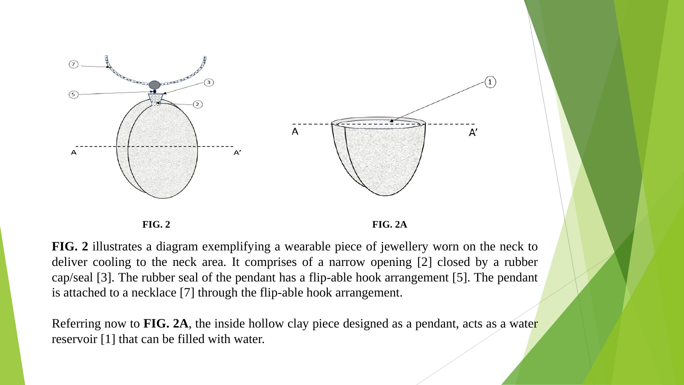



**FIG. 2** illustrates a diagram exemplifying a wearable piece of jewellery worn on the neck to deliver cooling to the neck area. It comprises of a narrow opening [2] closed by a rubber cap/seal [3]. The rubber seal of the pendant has a flip-able hook arrangement [5]. The pendant is attached to a necklace [7] through the flip-able hook arrangement.

Referring now to **FIG. 2A**, the inside hollow clay piece designed as a pendant, acts as a water reservoir [1] that can be filled with water.